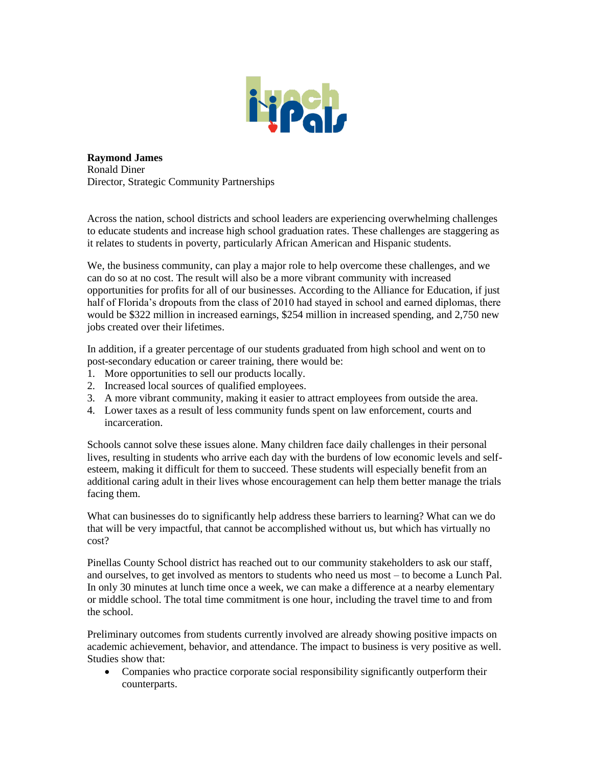

**Raymond James**  Ronald Diner Director, Strategic Community Partnerships

Across the nation, school districts and school leaders are experiencing overwhelming challenges to educate students and increase high school graduation rates. These challenges are staggering as it relates to students in poverty, particularly African American and Hispanic students.

We, the business community, can play a major role to help overcome these challenges, and we can do so at no cost. The result will also be a more vibrant community with increased opportunities for profits for all of our businesses. According to the Alliance for Education, if just half of Florida's dropouts from the class of 2010 had stayed in school and earned diplomas, there would be \$322 million in increased earnings, \$254 million in increased spending, and 2,750 new jobs created over their lifetimes.

In addition, if a greater percentage of our students graduated from high school and went on to post-secondary education or career training, there would be:

- 1. More opportunities to sell our products locally.
- 2. Increased local sources of qualified employees.
- 3. A more vibrant community, making it easier to attract employees from outside the area.
- 4. Lower taxes as a result of less community funds spent on law enforcement, courts and incarceration.

Schools cannot solve these issues alone. Many children face daily challenges in their personal lives, resulting in students who arrive each day with the burdens of low economic levels and selfesteem, making it difficult for them to succeed. These students will especially benefit from an additional caring adult in their lives whose encouragement can help them better manage the trials facing them.

What can businesses do to significantly help address these barriers to learning? What can we do that will be very impactful, that cannot be accomplished without us, but which has virtually no cost?

Pinellas County School district has reached out to our community stakeholders to ask our staff, and ourselves, to get involved as mentors to students who need us most – to become a Lunch Pal. In only 30 minutes at lunch time once a week, we can make a difference at a nearby elementary or middle school. The total time commitment is one hour, including the travel time to and from the school.

Preliminary outcomes from students currently involved are already showing positive impacts on academic achievement, behavior, and attendance. The impact to business is very positive as well. Studies show that:

• Companies who practice corporate social responsibility significantly outperform their counterparts.